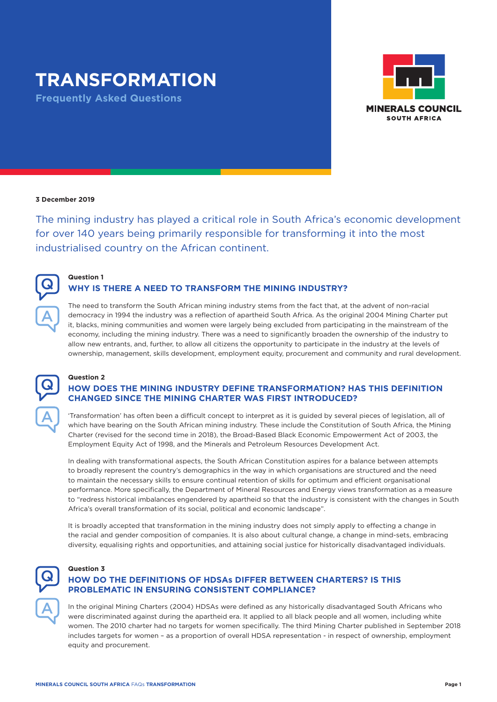# **TRANSFORMATION**

**Frequently Asked Questions**



#### **3 December 2019**

The mining industry has played a critical role in South Africa's economic development for over 140 years being primarily responsible for transforming it into the most industrialised country on the African continent.



#### **Question 1**

# **WHY IS THERE A NEED TO TRANSFORM THE MINING INDUSTRY?**

The need to transform the South African mining industry stems from the fact that, at the advent of non-racial democracy in 1994 the industry was a reflection of apartheid South Africa. As the original 2004 Mining Charter put it, blacks, mining communities and women were largely being excluded from participating in the mainstream of the economy, including the mining industry. There was a need to significantly broaden the ownership of the industry to allow new entrants, and, further, to allow all citizens the opportunity to participate in the industry at the levels of ownership, management, skills development, employment equity, procurement and community and rural development.



#### **Question 2**

**Question 3**

# **HOW DOES THE MINING INDUSTRY DEFINE TRANSFORMATION? HAS THIS DEFINITION CHANGED SINCE THE MINING CHARTER WAS FIRST INTRODUCED?**

'Transformation' has often been a difficult concept to interpret as it is guided by several pieces of legislation, all of which have bearing on the South African mining industry. These include the Constitution of South Africa, the Mining Charter (revised for the second time in 2018), the Broad-Based Black Economic Empowerment Act of 2003, the Employment Equity Act of 1998, and the Minerals and Petroleum Resources Development Act.

In dealing with transformational aspects, the South African Constitution aspires for a balance between attempts to broadly represent the country's demographics in the way in which organisations are structured and the need to maintain the necessary skills to ensure continual retention of skills for optimum and efficient organisational performance. More specifically, the Department of Mineral Resources and Energy views transformation as a measure to "redress historical imbalances engendered by apartheid so that the industry is consistent with the changes in South Africa's overall transformation of its social, political and economic landscape".

It is broadly accepted that transformation in the mining industry does not simply apply to effecting a change in the racial and gender composition of companies. It is also about cultural change, a change in mind-sets, embracing diversity, equalising rights and opportunities, and attaining social justice for historically disadvantaged individuals.

# Q A

# **HOW DO THE DEFINITIONS OF HDSAs DIFFER BETWEEN CHARTERS? IS THIS PROBLEMATIC IN ENSURING CONSISTENT COMPLIANCE?**

In the original Mining Charters (2004) HDSAs were defined as any historically disadvantaged South Africans who were discriminated against during the apartheid era. It applied to all black people and all women, including white women. The 2010 charter had no targets for women specifically. The third Mining Charter published in September 2018 includes targets for women – as a proportion of overall HDSA representation - in respect of ownership, employment equity and procurement.